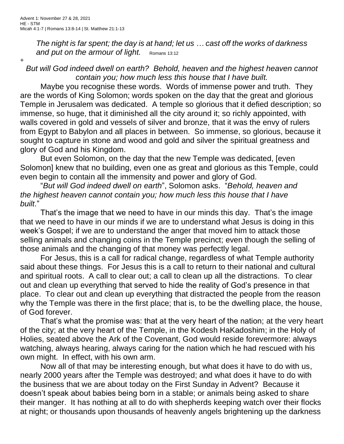+

*The night is far spent; the day is at hand; let us … cast off the works of darkness and put on the armour of light.* Romans 13:12

## *But will God indeed dwell on earth? Behold, heaven and the highest heaven cannot contain you; how much less this house that I have built.*

Maybe you recognise these words. Words of immense power and truth. They are the words of King Solomon; words spoken on the day that the great and glorious Temple in Jerusalem was dedicated. A temple so glorious that it defied description; so immense, so huge, that it diminished all the city around it; so richly appointed, with walls covered in gold and vessels of silver and bronze, that it was the envy of rulers from Egypt to Babylon and all places in between. So immense, so glorious, because it sought to capture in stone and wood and gold and silver the spiritual greatness and glory of God and his Kingdom.

But even Solomon, on the day that the new Temple was dedicated, [even Solomon] knew that no building, even one as great and glorious as this Temple, could even begin to contain all the immensity and power and glory of God.

"*But will God indeed dwell on earth*", Solomon asks. "*Behold, heaven and the highest heaven cannot contain you; how much less this house that I have built*."

That's the image that we need to have in our minds this day. That's the image that we need to have in our minds if we are to understand what Jesus is doing in this week's Gospel; if we are to understand the anger that moved him to attack those selling animals and changing coins in the Temple precinct; even though the selling of those animals and the changing of that money was perfectly legal.

For Jesus, this is a call for radical change, regardless of what Temple authority said about these things. For Jesus this is a call to return to their national and cultural and spiritual roots. A call to clear out; a call to clean up all the distractions. To clear out and clean up everything that served to hide the reality of God's presence in that place. To clear out and clean up everything that distracted the people from the reason why the Temple was there in the first place; that is, to be the dwelling place, the house, of God forever.

That's what the promise was: that at the very heart of the nation; at the very heart of the city; at the very heart of the Temple, in the Kodesh HaKadoshim; in the Holy of Holies, seated above the Ark of the Covenant, God would reside forevermore: always watching, always hearing, always caring for the nation which he had rescued with his own might. In effect, with his own arm.

Now all of that may be interesting enough, but what does it have to do with us, nearly 2000 years after the Temple was destroyed; and what does it have to do with the business that we are about today on the First Sunday in Advent? Because it doesn't speak about babies being born in a stable; or animals being asked to share their manger. It has nothing at all to do with shepherds keeping watch over their flocks at night; or thousands upon thousands of heavenly angels brightening up the darkness